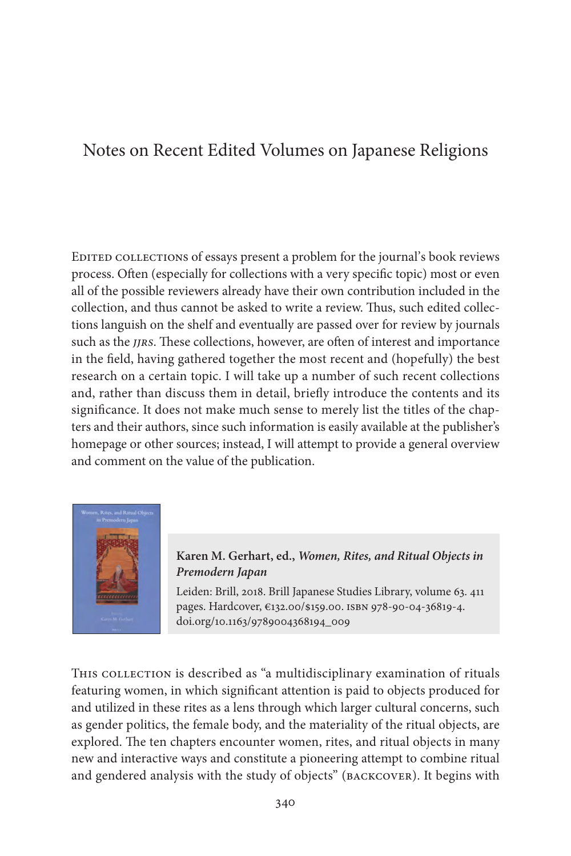## Notes on Recent Edited Volumes on Japanese Religions

Edited collections of essays present a problem for the journal's book reviews process. Often (especially for collections with a very specific topic) most or even all of the possible reviewers already have their own contribution included in the collection, and thus cannot be asked to write a review. Thus, such edited collections languish on the shelf and eventually are passed over for review by journals such as the *jjrs*. These collections, however, are often of interest and importance in the field, having gathered together the most recent and (hopefully) the best research on a certain topic. I will take up a number of such recent collections and, rather than discuss them in detail, briefly introduce the contents and its significance. It does not make much sense to merely list the titles of the chapters and their authors, since such information is easily available at the publisher's homepage or other sources; instead, I will attempt to provide a general overview and comment on the value of the publication.



**Karen M. Gerhart, ed.,** *Women, Rites, and Ritual Objects in Premodern Japan*

Leiden: Brill, 2018. Brill Japanese Studies Library, volume 63. 411 pages. Hardcover, €132.00/\$159.00. isbn 978-90-04-36819-4. doi.org/10.1163/9789004368194\_009

THIS COLLECTION is described as "a multidisciplinary examination of rituals featuring women, in which significant attention is paid to objects produced for and utilized in these rites as a lens through which larger cultural concerns, such as gender politics, the female body, and the materiality of the ritual objects, are explored. The ten chapters encounter women, rites, and ritual objects in many new and interactive ways and constitute a pioneering attempt to combine ritual and gendered analysis with the study of objects" (backcover). It begins with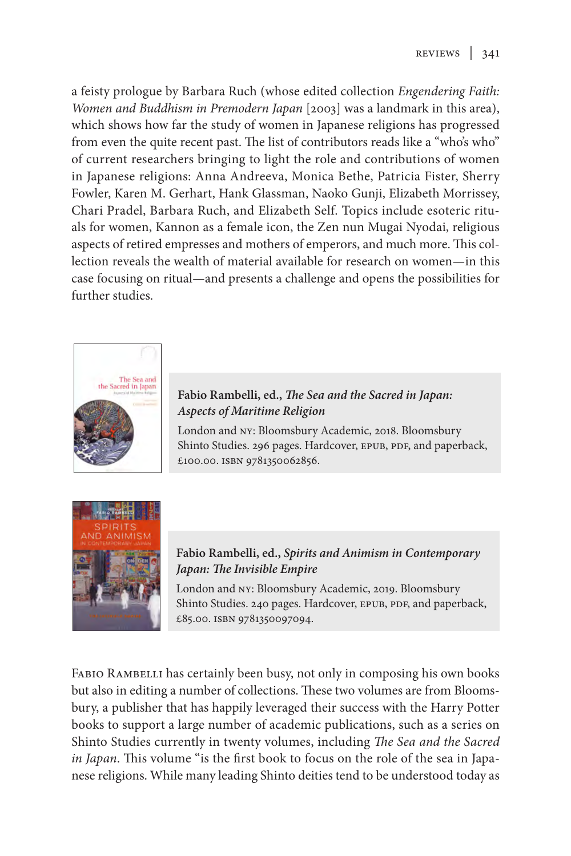a feisty prologue by Barbara Ruch (whose edited collection *Engendering Faith: Women and Buddhism in Premodern Japan* [2003] was a landmark in this area), which shows how far the study of women in Japanese religions has progressed from even the quite recent past. The list of contributors reads like a "who's who" of current researchers bringing to light the role and contributions of women in Japanese religions: Anna Andreeva, Monica Bethe, Patricia Fister, Sherry Fowler, Karen M. Gerhart, Hank Glassman, Naoko Gunji, Elizabeth Morrissey, Chari Pradel, Barbara Ruch, and Elizabeth Self. Topics include esoteric rituals for women, Kannon as a female icon, the Zen nun Mugai Nyodai, religious aspects of retired empresses and mothers of emperors, and much more. This collection reveals the wealth of material available for research on women—in this case focusing on ritual—and presents a challenge and opens the possibilities for further studies.



## **Fabio Rambelli, ed.,** *The Sea and the Sacred in Japan: Aspects of Maritime Religion*

London and NY: Bloomsbury Academic, 2018. Bloomsbury Shinto Studies. 296 pages. Hardcover, EPUB, PDF, and paperback, £100.00. ISBN 9781350062856.



**Fabio Rambelli, ed.,** *Spirits and Animism in Contemporary Japan: The Invisible Empire*

London and NY: Bloomsbury Academic, 2019. Bloomsbury Shinto Studies. 240 pages. Hardcover, EPUB, PDF, and paperback, £85.00. isbn 9781350097094.

FABIO RAMBELLI has certainly been busy, not only in composing his own books but also in editing a number of collections. These two volumes are from Bloomsbury, a publisher that has happily leveraged their success with the Harry Potter books to support a large number of academic publications, such as a series on Shinto Studies currently in twenty volumes, including *The Sea and the Sacred in Japan*. This volume "is the first book to focus on the role of the sea in Japanese religions. While many leading Shinto deities tend to be understood today as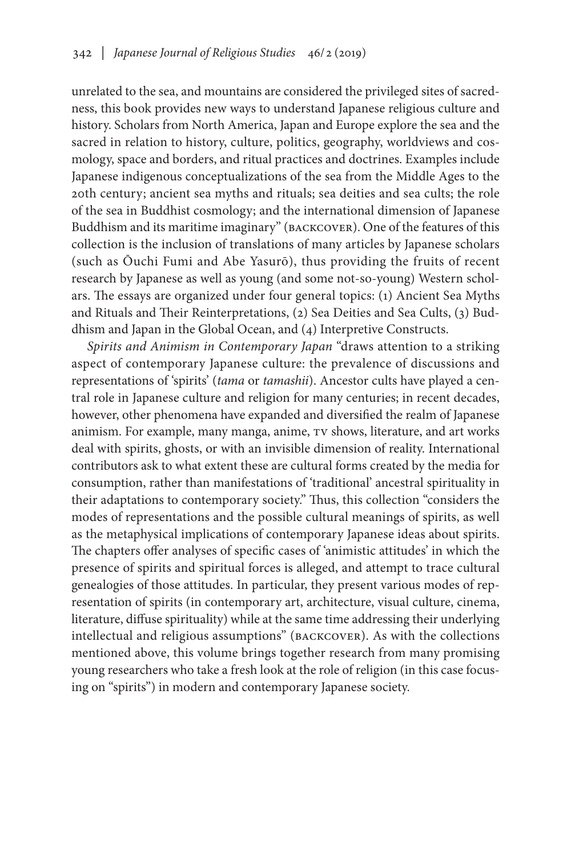unrelated to the sea, and mountains are considered the privileged sites of sacredness, this book provides new ways to understand Japanese religious culture and history. Scholars from North America, Japan and Europe explore the sea and the sacred in relation to history, culture, politics, geography, worldviews and cosmology, space and borders, and ritual practices and doctrines. Examples include Japanese indigenous conceptualizations of the sea from the Middle Ages to the 20th century; ancient sea myths and rituals; sea deities and sea cults; the role of the sea in Buddhist cosmology; and the international dimension of Japanese Buddhism and its maritime imaginary" (BACKCOVER). One of the features of this collection is the inclusion of translations of many articles by Japanese scholars (such as Ōuchi Fumi and Abe Yasurō), thus providing the fruits of recent research by Japanese as well as young (and some not-so-young) Western scholars. The essays are organized under four general topics: (1) Ancient Sea Myths and Rituals and Their Reinterpretations, (2) Sea Deities and Sea Cults, (3) Buddhism and Japan in the Global Ocean, and (4) Interpretive Constructs.

*Spirits and Animism in Contemporary Japan* "draws attention to a striking aspect of contemporary Japanese culture: the prevalence of discussions and representations of 'spirits' (*tama* or *tamashii*). Ancestor cults have played a central role in Japanese culture and religion for many centuries; in recent decades, however, other phenomena have expanded and diversified the realm of Japanese animism. For example, many manga, anime, TV shows, literature, and art works deal with spirits, ghosts, or with an invisible dimension of reality. International contributors ask to what extent these are cultural forms created by the media for consumption, rather than manifestations of 'traditional' ancestral spirituality in their adaptations to contemporary society." Thus, this collection "considers the modes of representations and the possible cultural meanings of spirits, as well as the metaphysical implications of contemporary Japanese ideas about spirits. The chapters offer analyses of specific cases of 'animistic attitudes' in which the presence of spirits and spiritual forces is alleged, and attempt to trace cultural genealogies of those attitudes. In particular, they present various modes of representation of spirits (in contemporary art, architecture, visual culture, cinema, literature, diffuse spirituality) while at the same time addressing their underlying intellectual and religious assumptions" (backcover). As with the collections mentioned above, this volume brings together research from many promising young researchers who take a fresh look at the role of religion (in this case focusing on "spirits") in modern and contemporary Japanese society.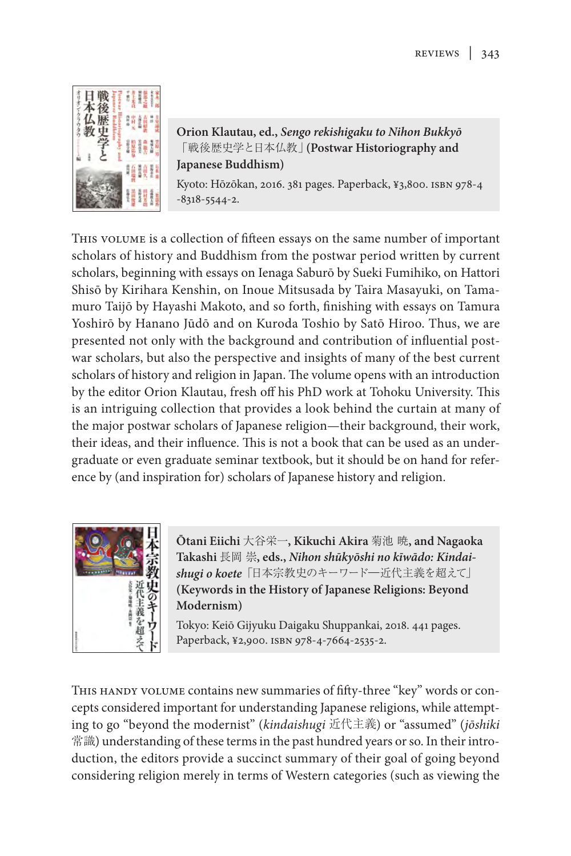

**Orion Klautau, ed.,** *Sengo rekishigaku to Nihon Bukkyō* 「戦後歴史学と日本仏教」**(Postwar Historiography and Japanese Buddhism)**

Kyoto: Hōzōkan, 2016. 381 pages. Paperback, ¥3,800. isbn 978-4 -8318-5544-2.

This volume is a collection of fifteen essays on the same number of important scholars of history and Buddhism from the postwar period written by current scholars, beginning with essays on Ienaga Saburō by Sueki Fumihiko, on Hattori Shisō by Kirihara Kenshin, on Inoue Mitsusada by Taira Masayuki, on Tamamuro Taijō by Hayashi Makoto, and so forth, finishing with essays on Tamura Yoshirō by Hanano Jūdō and on Kuroda Toshio by Satō Hiroo. Thus, we are presented not only with the background and contribution of influential postwar scholars, but also the perspective and insights of many of the best current scholars of history and religion in Japan. The volume opens with an introduction by the editor Orion Klautau, fresh off his PhD work at Tohoku University. This is an intriguing collection that provides a look behind the curtain at many of the major postwar scholars of Japanese religion—their background, their work, their ideas, and their influence. This is not a book that can be used as an undergraduate or even graduate seminar textbook, but it should be on hand for reference by (and inspiration for) scholars of Japanese history and religion.



**Ōtani Eiichi** 大谷栄一**, Kikuchi Akira** 菊池 暁**, and Nagaoka Takashi** 長岡 崇**, eds.,** *Nihon shūkyōshi no kīwādo: Kindaishugi o koete*「日本宗教史のキーワード―近代主義を超えて」 **(Keywords in the History of Japanese Religions: Beyond Modernism)**

Tokyo: Keiō Gijyuku Daigaku Shuppankai, 2018. 441 pages. Paperback, ¥2,900. isbn 978-4-7664-2535-2.

This handy volume contains new summaries of fifty-three "key" words or concepts considered important for understanding Japanese religions, while attempting to go "beyond the modernist" (*kindaishugi* 近代主義) or "assumed" (*jōshiki* 常識) understanding of these terms in the past hundred years or so. In their introduction, the editors provide a succinct summary of their goal of going beyond considering religion merely in terms of Western categories (such as viewing the